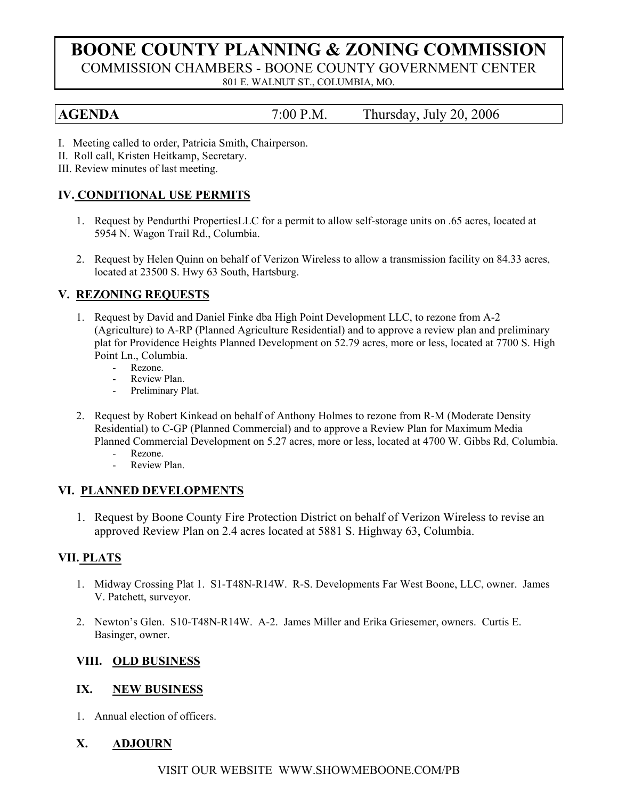# **BOONE COUNTY PLANNING & ZONING COMMISSION** COMMISSION CHAMBERS - BOONE COUNTY GOVERNMENT CENTER 801 E. WALNUT ST., COLUMBIA, MO.

**AGENDA** 7:00 P.M. Thursday, July 20, 2006

- I. Meeting called to order, Patricia Smith, Chairperson.
- II. Roll call, Kristen Heitkamp, Secretary.
- III. Review minutes of last meeting.

# **IV. CONDITIONAL USE PERMITS**

- 1. Request by Pendurthi PropertiesLLC for a permit to allow self-storage units on .65 acres, located at 5954 N. Wagon Trail Rd., Columbia.
- 2. Request by Helen Quinn on behalf of Verizon Wireless to allow a transmission facility on 84.33 acres, located at 23500 S. Hwy 63 South, Hartsburg.

### **V. REZONING REQUESTS**

- 1. Request by David and Daniel Finke dba High Point Development LLC, to rezone from A-2 (Agriculture) to A-RP (Planned Agriculture Residential) and to approve a review plan and preliminary plat for Providence Heights Planned Development on 52.79 acres, more or less, located at 7700 S. High Point Ln., Columbia.
	- Rezone.
	- Review Plan.
	- Preliminary Plat.
- 2. Request by Robert Kinkead on behalf of Anthony Holmes to rezone from R-M (Moderate Density Residential) to C-GP (Planned Commercial) and to approve a Review Plan for Maximum Media Planned Commercial Development on 5.27 acres, more or less, located at 4700 W. Gibbs Rd, Columbia.
	- Rezone.
	- Review Plan

### **VI. PLANNED DEVELOPMENTS**

1. Request by Boone County Fire Protection District on behalf of Verizon Wireless to revise an approved Review Plan on 2.4 acres located at 5881 S. Highway 63, Columbia.

# **VII. PLATS**

- 1. Midway Crossing Plat 1. S1-T48N-R14W. R-S. Developments Far West Boone, LLC, owner. James V. Patchett, surveyor.
- 2. Newton's Glen. S10-T48N-R14W. A-2. James Miller and Erika Griesemer, owners. Curtis E. Basinger, owner.

### **VIII. OLD BUSINESS**

### **IX. NEW BUSINESS**

1. Annual election of officers.

# **X. ADJOURN**